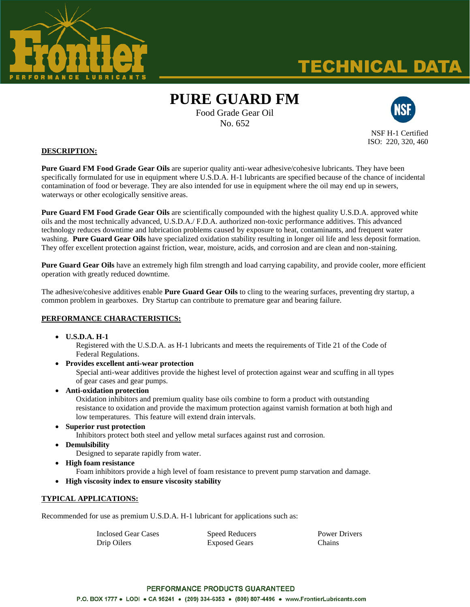

# **TECHNICAL DATA**

# **PURE GUARD FM**

Food Grade Gear Oil No. 652



NSF H-1 Certified ISO: 220, 320, 460

#### **DESCRIPTION:**

**Pure Guard FM Food Grade Gear Oils** are superior quality anti-wear adhesive/cohesive lubricants. They have been specifically formulated for use in equipment where U.S.D.A. H-1 lubricants are specified because of the chance of incidental contamination of food or beverage. They are also intended for use in equipment where the oil may end up in sewers, waterways or other ecologically sensitive areas.

**Pure Guard FM Food Grade Gear Oils** are scientifically compounded with the highest quality U.S.D.A. approved white oils and the most technically advanced, U.S.D.A./ F.D.A. authorized non-toxic performance additives. This advanced technology reduces downtime and lubrication problems caused by exposure to heat, contaminants, and frequent water washing. **Pure Guard Gear Oils** have specialized oxidation stability resulting in longer oil life and less deposit formation. They offer excellent protection against friction, wear, moisture, acids, and corrosion and are clean and non-staining.

**Pure Guard Gear Oils** have an extremely high film strength and load carrying capability, and provide cooler, more efficient operation with greatly reduced downtime.

The adhesive/cohesive additives enable **Pure Guard Gear Oils** to cling to the wearing surfaces, preventing dry startup, a common problem in gearboxes. Dry Startup can contribute to premature gear and bearing failure.

## **PERFORMANCE CHARACTERISTICS:**

**U.S.D.A. H-1**

Registered with the U.S.D.A. as H-1 lubricants and meets the requirements of Title 21 of the Code of Federal Regulations.

**Provides excellent anti-wear protection**

Special anti-wear additives provide the highest level of protection against wear and scuffing in all types of gear cases and gear pumps.

- **Anti-oxidation protection** Oxidation inhibitors and premium quality base oils combine to form a product with outstanding resistance to oxidation and provide the maximum protection against varnish formation at both high and low temperatures. This feature will extend drain intervals.
- **Superior rust protection**

Inhibitors protect both steel and yellow metal surfaces against rust and corrosion.

- **Demulsibility**
	- Designed to separate rapidly from water.
- **High foam resistance**

Foam inhibitors provide a high level of foam resistance to prevent pump starvation and damage.

**High viscosity index to ensure viscosity stability**

#### **TYPICAL APPLICATIONS:**

Recommended for use as premium U.S.D.A. H-1 lubricant for applications such as:

| Inclosed Gear Cases | <b>Speed Reducers</b> | <b>Power Drivers</b> |
|---------------------|-----------------------|----------------------|
| Drip Oilers         | <b>Exposed Gears</b>  | Chains               |